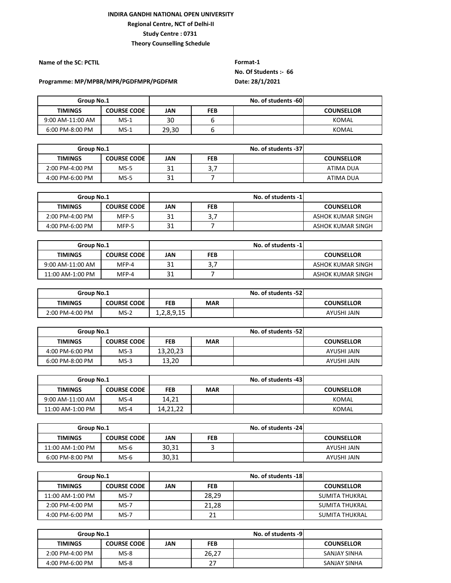**Name of the SC: PCTIL Format-1 No. Of Students :- 66**

#### **Programme: MP/MPBR/MPR/PGDFMPR/PGDFMR Date: 28/1/2021**

|                  | Group No.1         |       |     | No. of students -60 |                   |
|------------------|--------------------|-------|-----|---------------------|-------------------|
| <b>TIMINGS</b>   | <b>COURSE CODE</b> | JAN   | FEB |                     | <b>COUNSELLOR</b> |
| 9:00 AM-11:00 AM | $MS-1$             | 30    |     |                     | KOMAL             |
| 6:00 PM-8:00 PM  | $MS-1$             | 29,30 |     |                     | KOMAL             |

|                 | Group No.1         |     |             | No. of students -37 |                   |
|-----------------|--------------------|-----|-------------|---------------------|-------------------|
| <b>TIMINGS</b>  | <b>COURSE CODE</b> | JAN | FEB         |                     | <b>COUNSELLOR</b> |
| 2:00 PM-4:00 PM | $MS-5$             | 31  | າ 7<br>э, і |                     | ATIMA DUA         |
| 4:00 PM-6:00 PM | $MS-5$             | 31  |             |                     | ATIMA DUA         |

| Group No.1      |                    | No. of students -1 |          |  |                   |
|-----------------|--------------------|--------------------|----------|--|-------------------|
| <b>TIMINGS</b>  | <b>COURSE CODE</b> | JAN                | FEB      |  | <b>COUNSELLOR</b> |
| 2:00 PM-4:00 PM | MFP-5              | 31                 | דפ<br>ر. |  | ASHOK KUMAR SINGH |
| 4:00 PM-6:00 PM | MFP-5              | 31                 |          |  | ASHOK KUMAR SINGH |

| Group No.1         |                    | No. of students -1 |           |  |                   |
|--------------------|--------------------|--------------------|-----------|--|-------------------|
| <b>TIMINGS</b>     | <b>COURSE CODE</b> | JAN                | FEB       |  | <b>COUNSELLOR</b> |
| $9:00$ AM-11:00 AM | MFP-4              | 31                 | דכ<br>э., |  | ASHOK KUMAR SINGH |
| 11:00 AM-1:00 PM   | MFP-4              | 31                 |           |  | ASHOK KUMAR SINGH |

| Group No.1      |                    | No. of students -52 |            |                   |             |
|-----------------|--------------------|---------------------|------------|-------------------|-------------|
| <b>TIMINGS</b>  | <b>COURSE CODE</b> | <b>FEB</b>          | <b>MAR</b> | <b>COUNSELLOR</b> |             |
| 2:00 PM-4:00 PM | $MS-2$             | 1,2,8,9,15          |            |                   | AYUSHI JAIN |

| Group No.1      |                    |          | No. of students -52 |  |                   |
|-----------------|--------------------|----------|---------------------|--|-------------------|
| <b>TIMINGS</b>  | <b>COURSE CODE</b> | FEB      | <b>MAR</b>          |  | <b>COUNSELLOR</b> |
| 4:00 PM-6:00 PM | $MS-3$             | 13,20,23 |                     |  | AYUSHI JAIN       |
| 6:00 PM-8:00 PM | $MS-3$             | 13,20    |                     |  | AYUSHI JAIN       |

|                  | Group No.1         |            |            | No. of students -43 |                   |  |  |
|------------------|--------------------|------------|------------|---------------------|-------------------|--|--|
| <b>TIMINGS</b>   | <b>COURSE CODE</b> | <b>FEB</b> | <b>MAR</b> |                     | <b>COUNSELLOR</b> |  |  |
| 9:00 AM-11:00 AM | $MS-4$             | 14,21      |            |                     | KOMAL             |  |  |
| 11:00 AM-1:00 PM | $MS-4$             | 14,21,22   |            |                     | KOMAL             |  |  |

| Group No.1       |                    |       |            | No. of students -24 |                   |
|------------------|--------------------|-------|------------|---------------------|-------------------|
| <b>TIMINGS</b>   | <b>COURSE CODE</b> | JAN   | <b>FEB</b> |                     | <b>COUNSELLOR</b> |
| 11:00 AM-1:00 PM | $MS-6$             | 30.31 |            |                     | AYUSHI JAIN       |
| 6:00 PM-8:00 PM  | $MS-6$             | 30,31 |            |                     | AYUSHI JAIN       |

| Group No.1       |                    | No. of students -18 |            |  |                   |  |
|------------------|--------------------|---------------------|------------|--|-------------------|--|
| <b>TIMINGS</b>   | <b>COURSE CODE</b> | JAN                 | <b>FEB</b> |  | <b>COUNSELLOR</b> |  |
| 11:00 AM-1:00 PM | MS-7               |                     | 28,29      |  | SUMITA THUKRAL    |  |
| 2:00 PM-4:00 PM  | $MS-7$             |                     | 21,28      |  | SUMITA THUKRAL    |  |
| 4:00 PM-6:00 PM  | $MS-7$             |                     | 21         |  | SUMITA THUKRAL    |  |

| Group No.1      |                    | No. of students -9 |            |  |                     |
|-----------------|--------------------|--------------------|------------|--|---------------------|
| <b>TIMINGS</b>  | <b>COURSE CODE</b> | JAN                | <b>FEB</b> |  | <b>COUNSELLOR</b>   |
| 2:00 PM-4:00 PM | $MS-8$             |                    | 26,27      |  | SANJAY SINHA        |
| 4:00 PM-6:00 PM | $MS-8$             |                    | 27         |  | <b>SANJAY SINHA</b> |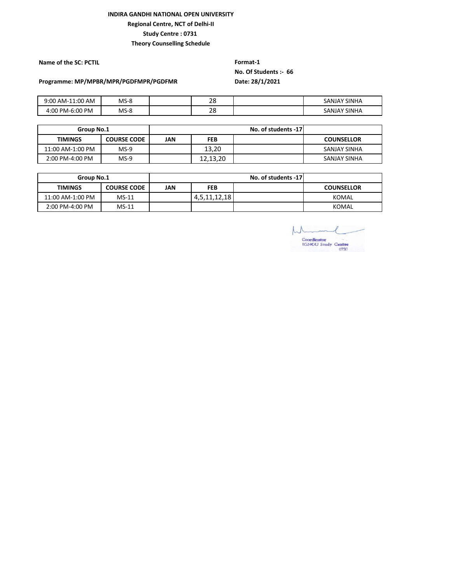#### **INDIRA GANDHI NATIONAL OPEN UNIVERSITY Regional Centre, NCT of Delhi-II**

**Study Centre : 0731** 

**Theory Counselling Schedule**

**Name of the SC: PCTIL Format-1** 

# **No. Of Students :- 66**

**Programme: MP/MPBR/MPR/PGDFMPR/PGDFMR Date: 28/1/2021**

| $9:00$ AM-:<br>$-11:00$<br>AM | $MS-8$ | າດ<br>20 | SANJAY SINHA        |
|-------------------------------|--------|----------|---------------------|
| 4:00 PM-6:00 PM               | $MS-8$ | າດ<br>20 | <b>SANJAY SINHA</b> |

| Group No.1       |                    |     |          | No. of students -17 |                   |
|------------------|--------------------|-----|----------|---------------------|-------------------|
| <b>TIMINGS</b>   | <b>COURSE CODE</b> | JAN | FEB      |                     | <b>COUNSELLOR</b> |
| 11:00 AM-1:00 PM | $MS-9$             |     | 13.20    |                     | SANJAY SINHA      |
| 2:00 PM-4:00 PM  | $MS-9$             |     | 12.13.20 |                     | SANJAY SINHA      |

| Group No.1       |                    | No. of students -17 |              |  |                   |
|------------------|--------------------|---------------------|--------------|--|-------------------|
| <b>TIMINGS</b>   | <b>COURSE CODE</b> | JAN                 | <b>FEB</b>   |  | <b>COUNSELLOR</b> |
| 11:00 AM-1:00 PM | $MS-11$            |                     | 4,5,11,12,18 |  | KOMAL             |
| 2:00 PM-4:00 PM  | $MS-11$            |                     |              |  | KOMAL             |

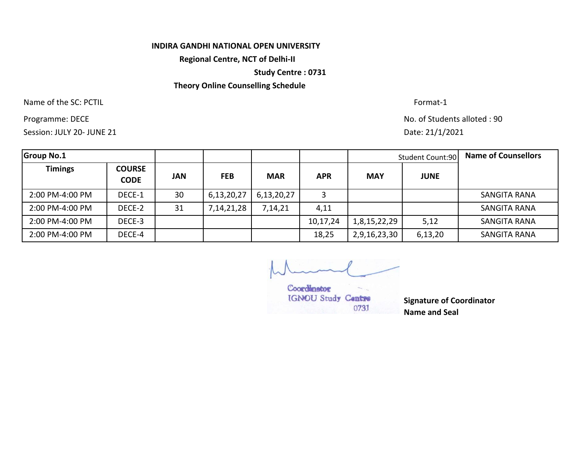#### **INDIRA GANDHI NATIONAL OPEN UNIVERSITY**

**Regional Centre, NCT of Delhi-II**

**Study Centre : 0731**

# **Theory Online Counselling Schedule**

Name of the SC: PCTIL Format-1

Session: JULY 20- JUNE 21

Programme: DECE No. of Students alloted : 90 Date: 21/1/2021

| <b>Group No.1</b> |                              |     |               |            |            |              | <b>Student Count:90</b> | <b>Name of Counsellors</b> |
|-------------------|------------------------------|-----|---------------|------------|------------|--------------|-------------------------|----------------------------|
| <b>Timings</b>    | <b>COURSE</b><br><b>CODE</b> | JAN | <b>FEB</b>    | <b>MAR</b> | <b>APR</b> | <b>MAY</b>   | <b>JUNE</b>             |                            |
| 2:00 PM-4:00 PM   | DECE-1                       | 30  | 6,13,20,27    | 6,13,20,27 | 3          |              |                         | SANGITA RANA               |
| 2:00 PM-4:00 PM   | DECE-2                       | 31  | 7, 14, 21, 28 | 7,14,21    | 4,11       |              |                         | <b>SANGITA RANA</b>        |
| 2:00 PM-4:00 PM   | DECE-3                       |     |               |            | 10,17,24   | 1,8,15,22,29 | 5,12                    | <b>SANGITA RANA</b>        |
| 2:00 PM-4:00 PM   | DECE-4                       |     |               |            | 18,25      | 2,9,16,23,30 | 6,13,20                 | <b>SANGITA RANA</b>        |

Coordinator IGNOU Study Centre 0731

**Signature of Coordinator Name and Seal**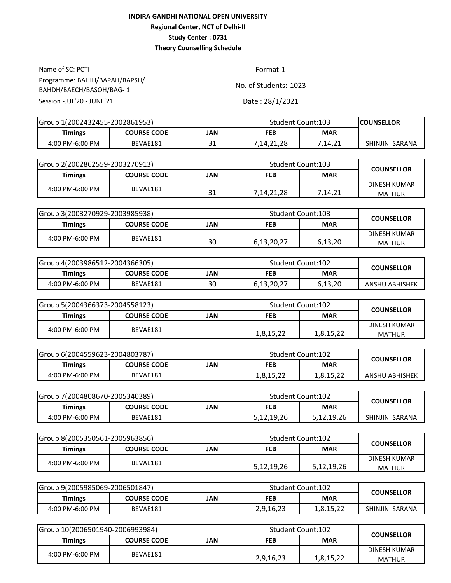Name of SC: PCTI Format-1 Session -JUL'20 - JUNE'21 Date: 28/1/2021 Programme: BAHIH/BAPAH/BAPSH/ BAHDH/BAECH/BASOH/BAG- 1

| Group 1(2002432455-2002861953) |                    |          | <b>Student Count:103</b> |         | <b>ICOUNSELLOR</b> |
|--------------------------------|--------------------|----------|--------------------------|---------|--------------------|
| <b>Timings</b>                 | <b>COURSE CODE</b> | JAN      | <b>MAR</b><br><b>FEB</b> |         |                    |
| 4:00 PM-6:00 PM                | BEVAE181           | 21<br>ᇰᆂ | 7,14,21,28               | 7.14.21 | SHINJINI SARANA    |

| lGroup 2(2002862559-2003270913) |                    |           | Student Count:103 |            | <b>COUNSELLOR</b>      |  |
|---------------------------------|--------------------|-----------|-------------------|------------|------------------------|--|
| <b>Timings</b>                  | <b>COURSE CODE</b> | JAN       | FEB               | <b>MAR</b> |                        |  |
| 4:00 PM-6:00 PM                 | BEVAE181           | 21<br>⊥ ر | 7,14,21,28        | 7,14,21    | DINESH KUMAR<br>MATHUR |  |

| Group 3(2003270929-2003985938) |                    |     | Student Count:103 |            | <b>COUNSELLOR</b>             |  |
|--------------------------------|--------------------|-----|-------------------|------------|-------------------------------|--|
| <b>Timings</b>                 | <b>COURSE CODE</b> | JAN | <b>FEB</b>        | <b>MAR</b> |                               |  |
| 4:00 PM-6:00 PM                | BEVAE181           | 30  | 6,13,20,27        | 6,13,20    | DINESH KUMAR<br><b>MATHUR</b> |  |

| Group 4(2003986512-2004366305) |                    |     | Student Count:102 |            | <b>COUNSELLOR</b>     |
|--------------------------------|--------------------|-----|-------------------|------------|-----------------------|
| <b>Timings</b>                 | <b>COURSE CODE</b> | JAN | FEB               | <b>MAR</b> |                       |
| 4:00 PM-6:00 PM                | BEVAE181           | 30  | 6,13,20,27        | 6,13,20    | <b>ANSHU ABHISHEK</b> |

| Group 5(2004366373-2004558123) |                    |     | Student Count:102        |           | <b>COUNSELLOR</b>             |
|--------------------------------|--------------------|-----|--------------------------|-----------|-------------------------------|
| <b>Timings</b>                 | <b>COURSE CODE</b> | JAN | <b>FEB</b><br><b>MAR</b> |           |                               |
| 4:00 PM-6:00 PM                | BEVAE181           |     | 1,8,15,22                | 1,8,15,22 | DINESH KUMAR<br><b>MATHUR</b> |

| Group 6(2004559623-2004803787) |                    |     |                   | Student Count:102 | <b>COUNSELLOR</b>     |
|--------------------------------|--------------------|-----|-------------------|-------------------|-----------------------|
| <b>Timings</b>                 | <b>COURSE CODE</b> | JAN | <b>MAR</b><br>FEB |                   |                       |
| 4:00 PM-6:00 PM                | BEVAE181           |     | 1,8,15,22         | 1,8,15,22         | <b>ANSHU ABHISHEK</b> |

| Group 7(2004808670-2005340389) |                    |     | <b>Student Count:102</b> |            | <b>COUNSELLOR</b> |
|--------------------------------|--------------------|-----|--------------------------|------------|-------------------|
| Timings                        | <b>COURSE CODE</b> | JAN | <b>MAR</b><br><b>FEB</b> |            |                   |
| 4:00 PM-6:00 PM                | BEVAE181           |     | 5,12,19,26               | 5,12,19,26 | SHINJINI SARANA   |

| lGroup 8(2005350561-2005963856) |                    |            | Student Count:102 |            | <b>COUNSELLOR</b>      |  |
|---------------------------------|--------------------|------------|-------------------|------------|------------------------|--|
| <b>Timings</b>                  | <b>COURSE CODE</b> | <b>JAN</b> | FEB               | <b>MAR</b> |                        |  |
| 4:00 PM-6:00 PM                 | BEVAE181           |            | 5,12,19,26        | 5,12,19,26 | DINESH KUMAR<br>MATHUR |  |

| Group 9(2005985069-2006501847) |                    |     | Student Count:102 |           | <b>COUNSELLOR</b> |
|--------------------------------|--------------------|-----|-------------------|-----------|-------------------|
| <b>Timings</b>                 | <b>COURSE CODE</b> | JAN | <b>MAR</b><br>FEB |           |                   |
| 4:00 PM-6:00 PM                | BEVAE181           |     | 2,9,16,23         | 1,8,15,22 | SHINJINI SARANA   |

| Group 10(2006501940-2006993984) |                    |     | Student Count:102 |            | <b>COUNSELLOR</b>             |
|---------------------------------|--------------------|-----|-------------------|------------|-------------------------------|
| <b>Timings</b>                  | <b>COURSE CODE</b> | JAN | <b>FEB</b>        | <b>MAR</b> |                               |
| 4:00 PM-6:00 PM                 | BEVAE181           |     | 2,9,16,23         | 1,8,15,22  | DINESH KUMAR<br><b>MATHUR</b> |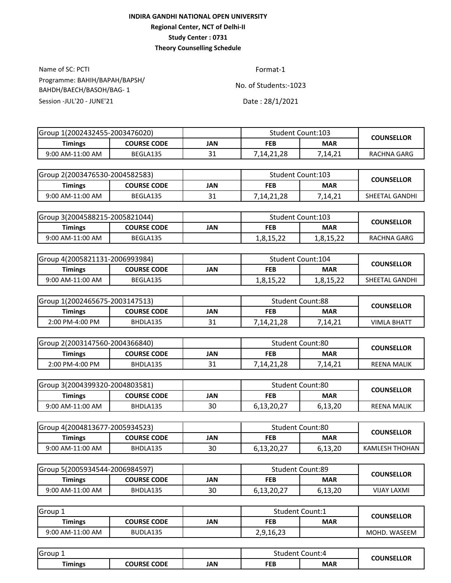Name of SC: PCTI Format-1 Session -JUL'20 - JUNE'21 Date: 28/1/2021 Programme: BAHIH/BAPAH/BAPSH/ BAHDH/BAECH/BASOH/BAG- 1

| Group 1(2002432455-2003476020) |                    |           | Student Count:103 |            | <b>COUNSELLOR</b> |
|--------------------------------|--------------------|-----------|-------------------|------------|-------------------|
| <b>Timings</b>                 | <b>COURSE CODE</b> | JAN       | FEB               | <b>MAR</b> |                   |
| 9:00 AM-11:00 AM               | BEGLA135           | ว 1<br>⊃⊥ | .14.21.28         | 7.14.21    | RACHNA GARG       |

| lGroup 2(2003476530-2004582583) |                    |           | Student Count:103 |            | <b>COUNSELLOR</b> |
|---------------------------------|--------------------|-----------|-------------------|------------|-------------------|
| Timings                         | <b>COURSE CODE</b> | JAN       | <b>FEB</b>        | <b>MAR</b> |                   |
| 9:00 AM-11:00 AM                | BEGLA135           | າ 1<br>⊥ر | 7,14,21,28        | 7,14,21    | SHEETAL GANDHI    |

| Group 3(2004588215-2005821044) |                    |     | <b>Student Count:103</b> |            | <b>COUNSELLOR</b> |
|--------------------------------|--------------------|-----|--------------------------|------------|-------------------|
| <b>Timings</b>                 | <b>COURSE CODE</b> | JAN | <b>FEB</b>               | <b>MAR</b> |                   |
| 9:00 AM-11:00 AM               | BEGLA135           |     | 1,8,15,22                | 1,8,15,22  | RACHNA GARG       |

| Group 4(2005821131-2006993984) |                    |     | Student Count:104 |            | <b>COUNSELLOR</b> |  |
|--------------------------------|--------------------|-----|-------------------|------------|-------------------|--|
| Timings                        | <b>COURSE CODE</b> | JAN | <b>FEB</b>        | <b>MAR</b> |                   |  |
| 9:00 AM-11:00 AM               | BEGLA135           |     | 1,8,15,22         | 1,8,15,22  | SHEETAL GANDHI    |  |

| IGroup 1(2002465675-2003147513) |                    |     | <b>Student Count:88</b> |            | <b>COUNSELLOR</b> |
|---------------------------------|--------------------|-----|-------------------------|------------|-------------------|
| Timings                         | <b>COURSE CODE</b> | JAN | <b>FEB</b>              | <b>MAR</b> |                   |
| 2:00 PM-4:00 PM                 | BHDLA135           | ⊥ ب | 7.14.21.28              | 7.14.21    | VIMLA BHATT       |

| Group 2(2003147560-2004366840) |                    |     | <b>Student Count:80</b> |            | <b>COUNSELLOR</b> |
|--------------------------------|--------------------|-----|-------------------------|------------|-------------------|
| <b>Timings</b>                 | <b>COURSE CODE</b> | JAN | FEB                     | <b>MAR</b> |                   |
| 2:00 PM-4:00 PM                | BHDLA135           | ⊥ر  | 7,14,21,28              | 7,14,21    | REENA MALIK       |

| IGroup 3(2004399320-2004803581) |                    |     | <b>Student Count:80</b> |            | <b>COUNSELLOR</b>  |  |
|---------------------------------|--------------------|-----|-------------------------|------------|--------------------|--|
| Timings                         | <b>COURSE CODE</b> | JAN | <b>FEB</b>              | <b>MAR</b> |                    |  |
| 9:00 AM-11:00 AM                | BHDLA135           | 30  | 6,13,20,27              | 6,13,20    | <b>REENA MALIK</b> |  |

| IGroup 4(2004813677-2005934523) |                    |     | Student Count:80 |            | <b>COUNSELLOR</b> |  |
|---------------------------------|--------------------|-----|------------------|------------|-------------------|--|
| Timings                         | <b>COURSE CODE</b> | JAN | FEB              | <b>MAR</b> |                   |  |
| 9:00 AM-11:00 AM                | BHDLA135           | 30  | 6,13,20,27       | 6,13,20    | KAMLESH THOHAN    |  |

| Group 5(2005934544-2006984597) |                    |     | <b>Student Count:89</b> |            | <b>COUNSELLOR</b>  |  |
|--------------------------------|--------------------|-----|-------------------------|------------|--------------------|--|
| Timings                        | <b>COURSE CODE</b> | JAN | FEB                     | <b>MAR</b> |                    |  |
| 9:00 AM-11:00 AM               | BHDLA135           | 30  | 6,13,20,27              | 6,13,20    | <b>VIJAY LAXMI</b> |  |

| <b>Group</b>     |                    |     | Student Count:1 |            | <b>COUNSELLOR</b> |  |
|------------------|--------------------|-----|-----------------|------------|-------------------|--|
| <b>Timings</b>   | <b>COURSE CODE</b> | JAN | <b>FEB</b>      | <b>MAR</b> |                   |  |
| 9:00 AM-11:00 AM | BUDLA135           |     | 2,9,16,23       |            | MOHD. WASEEM      |  |

| Group        |                              |     | student | Count:4    | <b>COUNSELLOR</b> |
|--------------|------------------------------|-----|---------|------------|-------------------|
| --<br>imings | <b>CODE</b><br><b>COURSE</b> | JAN | FEB     | <b>MAR</b> |                   |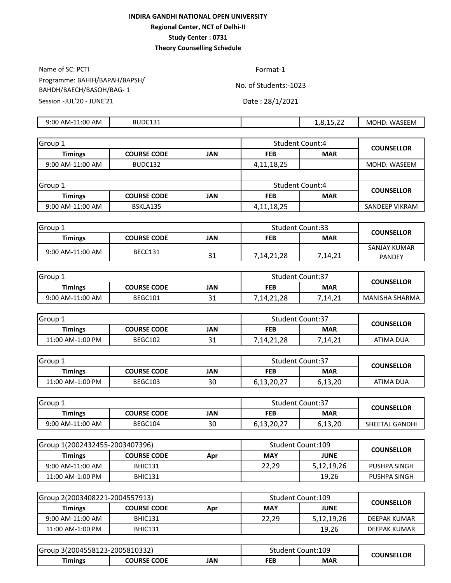Name of SC: PCTI Format-1 Session -JUL'20 - JUNE'21 Date: 28/1/2021 Programme: BAHIH/BAPAH/BAPSH/ BAHDH/BAECH/BASOH/BAG- 1

| 11:00 AM<br>9:00<br>AM-1 | BUDC131 |  | $- - - -$<br>$\sim$<br><br>$\overline{\phantom{a}}$<br>1.0.1J.44 | <b>WASEEM</b><br>MOHD. |
|--------------------------|---------|--|------------------------------------------------------------------|------------------------|
|                          |         |  |                                                                  |                        |

| Group 1          |                    |     | <b>Student Count:4</b> |            | <b>COUNSELLOR</b>     |  |
|------------------|--------------------|-----|------------------------|------------|-----------------------|--|
| <b>Timings</b>   | <b>COURSE CODE</b> | JAN | <b>FEB</b>             | <b>MAR</b> |                       |  |
| 9:00 AM-11:00 AM | BUDC132            |     | 4,11,18,25             |            | MOHD. WASEEM          |  |
|                  |                    |     |                        |            |                       |  |
| Group 1          |                    |     | <b>Student Count:4</b> |            | <b>COUNSELLOR</b>     |  |
| <b>Timings</b>   | <b>COURSE CODE</b> | JAN | <b>FEB</b>             | <b>MAR</b> |                       |  |
| 9:00 AM-11:00 AM | BSKLA135           |     | 4,11,18,25             |            | <b>SANDEEP VIKRAM</b> |  |

| Group <sup>1</sup> |                    |     | <b>Student Count:33</b>  |         | <b>COUNSELLOR</b> |
|--------------------|--------------------|-----|--------------------------|---------|-------------------|
| <b>Timings</b>     | <b>COURSE CODE</b> | JAN | <b>MAR</b><br><b>FEB</b> |         |                   |
| 9:00 AM-11:00 AM   | BECC131            |     |                          |         | SANJAY KUMAR      |
|                    |                    | ⊥ ب | 7,14,21,28               | 7,14,21 | <b>PANDEY</b>     |

| Group.           |             |     | <b>Student Count:37</b> |         | <b>COUNSELLOR</b> |
|------------------|-------------|-----|-------------------------|---------|-------------------|
| Timings          | COURSE CODE | JAN | <b>MAR</b><br>FEB       |         |                   |
| 9:00 AM-11:00 AM | BEGC101     | ᇰᆂ  | 7,14,21,28              | 7,14,21 | MANISHA SHARMA    |

| <b>Group 1</b>   |                    |     | <b>Student Count:37</b> |         | <b>COUNSELLOR</b> |
|------------------|--------------------|-----|-------------------------|---------|-------------------|
| Timings          | <b>COURSE CODE</b> | JAN | <b>MAR</b><br>FEB       |         |                   |
| 11:00 AM-1:00 PM | BEGC102            | ⊥ر  | 7,14,21,28              | 7,14,21 | ATIMA DUA         |

| Group:           |                    |     | <b>Student Count:37</b> |            | <b>COUNSELLOR</b> |
|------------------|--------------------|-----|-------------------------|------------|-------------------|
| <b>Timings</b>   | <b>COURSE CODE</b> | JAN | <b>FEB</b>              | <b>MAR</b> |                   |
| 11:00 AM-1:00 PM | BEGC103            | 30  | 6,13,20,27              | 6,13,20    | ATIMA DUA         |

| Group 1          |                    |     | <b>Student Count:37</b>  |         | <b>COUNSELLOR</b> |
|------------------|--------------------|-----|--------------------------|---------|-------------------|
| <b>Timings</b>   | <b>COURSE CODE</b> | JAN | <b>MAR</b><br><b>FEB</b> |         |                   |
| 9:00 AM-11:00 AM | BEGC104            | 30  | 6,13,20,27               | 6,13,20 | SHEETAL GANDHI    |

| Group 1(2002432455-2003407396) |                    |     | Student Count:109 |             | <b>COUNSELLOR</b> |
|--------------------------------|--------------------|-----|-------------------|-------------|-------------------|
| <b>Timings</b>                 | <b>COURSE CODE</b> | Apr | <b>MAY</b>        | <b>JUNE</b> |                   |
| 9:00 AM-11:00 AM               | BHIC131            |     | 22.29             | 5,12,19,26  | PUSHPA SINGH      |
| 11:00 AM-1:00 PM               | BHIC131            |     |                   | 19,26       | PUSHPA SINGH      |

| lGroup 2(2003408221-2004557913) |                    |     | Student Count:109 |             | <b>COUNSELLOR</b> |
|---------------------------------|--------------------|-----|-------------------|-------------|-------------------|
| <b>Timings</b>                  | <b>COURSE CODE</b> | Apr | <b>MAY</b>        | <b>JUNE</b> |                   |
| $9:00$ AM-11:00 AM              | BHIC131            |     | 22.29             | 5,12,19,26  | DEEPAK KUMAR      |
| 11:00 AM-1:00 PM                | BHIC131            |     |                   | 19.26       | DEEPAK KUMAR      |

| Group 3(2004558123-2005810332) |                    |     |            | Student Count:109 | <b>COUNSELLOR</b> |
|--------------------------------|--------------------|-----|------------|-------------------|-------------------|
| <b>Timings</b>                 | <b>COURSE CODE</b> | JAN | <b>FEB</b> | <b>MAR</b>        |                   |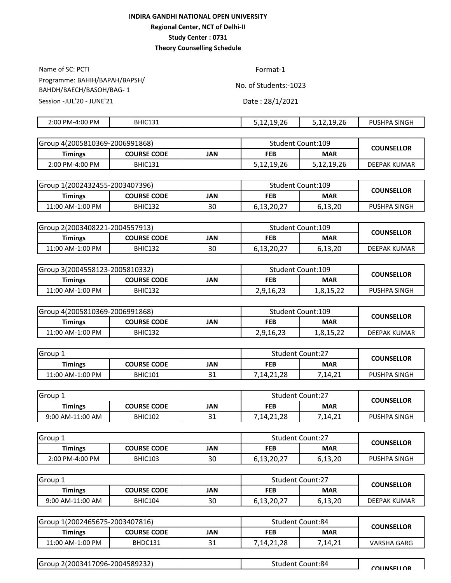Name of SC: PCTI Format-1 Programme: BAHIH/BAPAH/BAPSH/ BAHDH/BAECH/BASOH/BAG- 1

No. of Students:-1023

Session -JUL'20 - JUNE'21 Date: 28/1/2021

| PM-4:00 PM<br>2:00 | <b>BHIC131</b> | $\sim$ $\sim$<br>5.12.19.26 | .<br>$\sim$<br>u<br>5.12.19.26 | SINGH<br>או וח<br>. JSHP″ |
|--------------------|----------------|-----------------------------|--------------------------------|---------------------------|
|                    |                |                             |                                |                           |

| Group 4(2005810369-2006991868) |                    |     | Student Count:109 |            | <b>COUNSELLOR</b>   |
|--------------------------------|--------------------|-----|-------------------|------------|---------------------|
| <b>Timings</b>                 | <b>COURSE CODE</b> | JAN | <b>FEB</b>        | <b>MAR</b> |                     |
| $2:00$ PM-4:00 PM              | <b>BHIC131</b>     |     | 5,12,19,26        | 5,12,19,26 | <b>DEEPAK KUMAR</b> |

| Group 1(2002432455-2003407396) |                    |     | Student Count:109 |            | <b>COUNSELLOR</b> |  |
|--------------------------------|--------------------|-----|-------------------|------------|-------------------|--|
| Timings                        | <b>COURSE CODE</b> | IAN | FEB               | <b>MAR</b> |                   |  |
| 11:00 AM-1:00 PM               | <b>BHIC132</b>     | 30  | 6,13,20,27        | 6,13,20    | PUSHPA SINGH      |  |

| lGroup 2(2003408221-2004557913) |                    |     | Student Count:109 |            | <b>COUNSELLOR</b>   |  |
|---------------------------------|--------------------|-----|-------------------|------------|---------------------|--|
| Timings                         | <b>COURSE CODE</b> | JAN | <b>FEB</b>        | <b>MAR</b> |                     |  |
| 11:00 AM-1:00 PM                | <b>BHIC132</b>     | 30  | 6,13,20,27        | 6,13,20    | <b>DEEPAK KUMAR</b> |  |

| Group 3(2004558123-2005810332) |                    |     | Student Count:109 |            | <b>COUNSELLOR</b> |  |
|--------------------------------|--------------------|-----|-------------------|------------|-------------------|--|
| Timings                        | <b>COURSE CODE</b> | JAN | FEB               | <b>MAR</b> |                   |  |
| 11:00 AM-1:00 PM               | BHIC132            |     | 2,9,16,23         | 1,8,15,22  | PUSHPA SINGH      |  |

| Group 4(2005810369-2006991868) |                    |     |            | Student Count:109 | <b>COUNSELLOR</b>   |
|--------------------------------|--------------------|-----|------------|-------------------|---------------------|
| Timings                        | <b>COURSE CODE</b> | JAN | <b>FEB</b> | <b>MAR</b>        |                     |
| 11:00 AM-1:00 PM               | BHIC132            |     | 2,9,16,23  | 1,8,15,22         | <b>DEEPAK KUMAR</b> |

| Group            |                    |                    | <b>Student Count:27</b> |            | <b>COUNSELLOR</b> |
|------------------|--------------------|--------------------|-------------------------|------------|-------------------|
| <b>Timings</b>   | <b>COURSE CODE</b> | JAN                | <b>FEB</b>              | <b>MAR</b> |                   |
| 11:00 AM-1:00 PM | BHIC101            | $\mathbf{A}$<br>⊥ر | 7,14,21,28              | 7,14,21    | PUSHPA SINGH      |

| Group            |                |     | <b>Student Count:27</b> |            | <b>COUNSELLOR</b> |  |
|------------------|----------------|-----|-------------------------|------------|-------------------|--|
| Timings          | COURSE CODE    | JAN | <b>FEB</b>              | <b>MAR</b> |                   |  |
| 9:00 AM-11:00 AM | <b>BHIC102</b> | ᇰᆂ  | 7,14,21,28              | 7,14,21    | PUSHPA SINGH      |  |

| <b>I</b> Group  |                    |     | <b>Student Count:27</b> |            | <b>COUNSELLOR</b> |
|-----------------|--------------------|-----|-------------------------|------------|-------------------|
| Timings         | <b>COURSE CODE</b> | JAN | FEB                     | <b>MAR</b> |                   |
| 2:00 PM-4:00 PM | <b>BHIC103</b>     | 30  | 6,13,20,27              | 6,13,20    | PUSHPA SINGH      |

| Group 1          |                    |     | <b>Student Count:27</b> |            | <b>COUNSELLOR</b> |  |
|------------------|--------------------|-----|-------------------------|------------|-------------------|--|
| <b>Timings</b>   | <b>COURSE CODE</b> | JAN | <b>FEB</b>              | <b>MAR</b> |                   |  |
| 9:00 AM-11:00 AM | BHIC104            | 30  | 6,13,20,27              | 6,13,20    | DEEPAK KUMAR      |  |

| Group 1(2002465675-2003407816) |                    |     | <b>Student Count:84</b> |            | <b>COUNSELLOR</b> |  |
|--------------------------------|--------------------|-----|-------------------------|------------|-------------------|--|
| Timings                        | <b>COURSE CODE</b> | JAN | <b>FEB</b>              | <b>MAR</b> |                   |  |
| 11:00 AM-1:00 PM               | BHDC131            | ᇰᆂ  | 7,14,21,28              | 7,14,21    | VARSHA GARG       |  |

| Group 2(2003417096-2004589232) | count:84<br>Student | <b>COLINSELLOR</b> |
|--------------------------------|---------------------|--------------------|
|                                |                     |                    |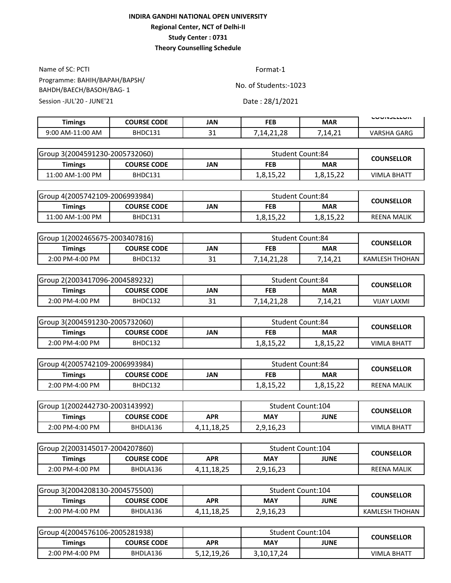Name of SC: PCTI Format-1 Session -JUL'20 - JUNE'21 Date: 28/1/2021 Programme: BAHIH/BAPAH/BAPSH/ BAHDH/BAECH/BASOH/BAG- 1

| $\mathbf{A}$<br>7,14,21<br>VARSHA GARG<br>BHDC131<br>9:00 AM-11:00 AM<br>4.ZI.ZO<br>ັ | <b>Timings</b> | <b>COURSE CODE</b> | JAN | FEB | <b>MAR</b> | <b>LUUINJLLLUIN</b> |
|---------------------------------------------------------------------------------------|----------------|--------------------|-----|-----|------------|---------------------|
|                                                                                       |                |                    |     |     |            |                     |

| lGroup 3(2004591230-2005732060) |                    |     | <b>Student Count:84</b> |            | <b>COUNSELLOR</b>  |  |
|---------------------------------|--------------------|-----|-------------------------|------------|--------------------|--|
| <b>Timings</b>                  | <b>COURSE CODE</b> | JAN | <b>FEB</b>              | <b>MAR</b> |                    |  |
| 11:00 AM-1:00 PM                | BHDC131            |     | 1,8,15,22               | 1,8,15,22  | <b>VIMLA BHATT</b> |  |

| Group 4(2005742109-2006993984) |                    |     | <b>Student Count:84</b> |            | <b>COUNSELLOR</b>  |
|--------------------------------|--------------------|-----|-------------------------|------------|--------------------|
| <b>Timings</b>                 | <b>COURSE CODE</b> | JAN | <b>FEB</b>              | <b>MAR</b> |                    |
| 11:00 AM-1:00 PM               | BHDC131            |     | 1,8,15,22               | 1,8,15,22  | <b>REENA MALIK</b> |

| Group 1(2002465675-2003407816) | Student Count:84   |     | <b>COUNSELLOR</b> |            |                |  |
|--------------------------------|--------------------|-----|-------------------|------------|----------------|--|
| Timings                        | <b>COURSE CODE</b> | JAN | <b>FEB</b>        | <b>MAR</b> |                |  |
| 2:00 PM-4:00 PM                | BHDC132            | ۔ ب | 7,14,21,28        | 7.14.21    | KAMLESH THOHAN |  |

| lGroup 2(2003417096-2004589232) |                    |     | <b>Student Count:84</b> |            | <b>COUNSELLOR</b>  |
|---------------------------------|--------------------|-----|-------------------------|------------|--------------------|
| Timings                         | <b>COURSE CODE</b> | IAN | <b>FEB</b>              | <b>MAR</b> |                    |
| 2:00 PM-4:00 PM                 | BHDC132            | ᇰᆂ  | 7,14,21,28              | 7,14,21    | <b>VIJAY LAXMI</b> |

| Group 3(2004591230-2005732060) |                    |     | Student Count:84 |            | <b>COUNSELLOR</b>  |  |
|--------------------------------|--------------------|-----|------------------|------------|--------------------|--|
| Timings                        | <b>COURSE CODE</b> | JAN | <b>FEB</b>       | <b>MAR</b> |                    |  |
| 2:00 PM-4:00 PM                | BHDC132            |     | 1,8,15,22        | 1,8,15,22  | <b>VIMLA BHATT</b> |  |

| Group 4(2005742109-2006993984) |                    |     | <b>Student Count:84</b> |            | <b>COUNSELLOR</b>  |
|--------------------------------|--------------------|-----|-------------------------|------------|--------------------|
| <b>Timings</b>                 | <b>COURSE CODE</b> | JAN | <b>FEB</b>              | <b>MAR</b> |                    |
| $2:00$ PM-4:00 PM              | BHDC132            |     | 1,8,15,22               | 1,8,15,22  | <b>REENA MALIK</b> |

| Group 1(2002442730-2003143992) |                    |               | Student Count:104 |      | <b>COUNSELLOR</b>  |  |
|--------------------------------|--------------------|---------------|-------------------|------|--------------------|--|
| Timings                        | <b>COURSE CODE</b> | APR           | <b>MAY</b>        | JUNE |                    |  |
| 2:00 PM-4:00 PM                | BHDLA136           | 4, 11, 18, 25 | 2,9,16,23         |      | <b>VIMLA BHATT</b> |  |

| Group 2(2003145017-2004207860) |                    |            | Student Count:104 |             |                    |  |
|--------------------------------|--------------------|------------|-------------------|-------------|--------------------|--|
| <b>Timings</b>                 | <b>COURSE CODE</b> | APR        | <b>MAY</b>        | <b>JUNE</b> | <b>COUNSELLOR</b>  |  |
| 2:00 PM-4:00 PM                | BHDLA136           | 4,11,18,25 | 2,9,16,23         |             | <b>REENA MALIK</b> |  |

| Group 3(2004208130-2004575500) |                    |            | Student Count:104 |             | <b>COUNSELLOR</b> |
|--------------------------------|--------------------|------------|-------------------|-------------|-------------------|
| Timings                        | <b>COURSE CODE</b> | APR        | <b>MAY</b>        | <b>JUNE</b> |                   |
| 2:00 PM-4:00 PM                | BHDLA136           | 4,11,18,25 | 2,9,16,23         |             | KAMLESH THOHAN    |

| Group 4(2004576106-2005281938) |                    |            | Student Count:104 |             | <b>COUNSELLOR</b>  |  |
|--------------------------------|--------------------|------------|-------------------|-------------|--------------------|--|
| Timings                        | <b>COURSE CODE</b> | <b>APR</b> | <b>MAY</b>        | <b>JUNE</b> |                    |  |
| 2:00 PM-4:00 PM                | BHDLA136           | 5,12,19,26 | 3,10,17,24        |             | <b>VIMLA BHATT</b> |  |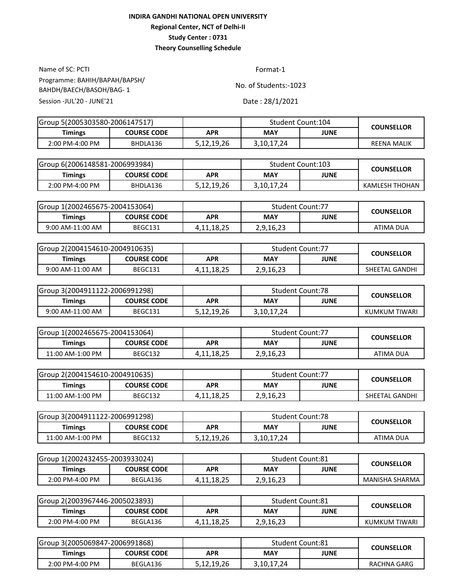Name of SC: PCTI Format-1 Session -JUL'20 - JUNE'21 Date: 28/1/2021 Programme: BAHIH/BAPAH/BAPSH/ BAHDH/BAECH/BASOH/BAG- 1

| Group 5(2005303580-2006147517) |                    |            |            | Student Count:104 | <b>COUNSELLOR</b>  |
|--------------------------------|--------------------|------------|------------|-------------------|--------------------|
| Timings                        | <b>COURSE CODE</b> | APR        | <b>MAY</b> | <b>JUNE</b>       |                    |
| 2:00 PM-4:00 PM                | BHDLA136           | 5,12,19,26 | 3,10,17,24 |                   | <b>REENA MALIK</b> |

| Group 6(2006148581-2006993984) |                    |            | Student Count:103 |             | <b>COUNSELLOR</b> |
|--------------------------------|--------------------|------------|-------------------|-------------|-------------------|
| Timings                        | <b>COURSE CODE</b> | APR        | <b>MAY</b>        | <b>JUNE</b> |                   |
| 2:00 PM-4:00 PM                | BHDLA136           | 5,12,19,26 | 3,10,17,24        |             | KAMLESH THOHAN    |

| Group 1(2002465675-2004153064) |                    |            | <b>Student Count:77</b> |      |                   |  |
|--------------------------------|--------------------|------------|-------------------------|------|-------------------|--|
| Timings                        | <b>COURSE CODE</b> | APR        | <b>MAY</b>              | JUNE | <b>COUNSELLOR</b> |  |
| 9:00 AM-11:00 AM               | BEGC131            | 4,11,18,25 | 2,9,16,23               |      | ATIMA DUA         |  |

| Group 2(2004154610-2004910635) |                    |               | <b>Student Count:77</b> |      | <b>COUNSELLOR</b> |
|--------------------------------|--------------------|---------------|-------------------------|------|-------------------|
| Timings                        | <b>COURSE CODE</b> | APR           | <b>MAY</b>              | JUNE |                   |
| 9:00 AM-11:00 AM               | BEGC131            | 4, 11, 18, 25 | 2,9,16,23               |      | SHEETAL GANDHI    |

| Group 3(2004911122-2006991298) |                    |            | <b>Student Count:78</b> |      | <b>COUNSELLOR</b> |
|--------------------------------|--------------------|------------|-------------------------|------|-------------------|
| Timings                        | <b>COURSE CODE</b> | APR        | <b>MAY</b>              | JUNE |                   |
| 9:00 AM-11:00 AM               | BEGC131            | 5,12,19,26 | 3,10,17,24              |      | KUMKUM TIWARI     |

| Group 1(2002465675-2004153064) |                    |               | <b>Student Count:77</b> |      |                   |  |
|--------------------------------|--------------------|---------------|-------------------------|------|-------------------|--|
| <b>Timings</b>                 | <b>COURSE CODE</b> | APR           | <b>MAY</b>              | JUNE | <b>COUNSELLOR</b> |  |
| 11:00 AM-1:00 PM               | BEGC132            | 4, 11, 18, 25 | 2,9,16,23               |      | ATIMA DUA         |  |

| Group 2(2004154610-2004910635) |             |            | <b>Student Count:77</b> |      | <b>COUNSELLOR</b> |  |
|--------------------------------|-------------|------------|-------------------------|------|-------------------|--|
| Timings                        | COURSE CODE | APR        | <b>MAY</b>              | JUNE |                   |  |
| 11:00 AM-1:00 PM               | BEGC132     | 4,11,18,25 | 2,9,16,23               |      | SHEETAL GANDHI    |  |

| lGroup 3(2004911122-2006991298) |                    |            | <b>Student Count:78</b> |             | <b>COUNSELLOR</b> |  |
|---------------------------------|--------------------|------------|-------------------------|-------------|-------------------|--|
| <b>Timings</b>                  | <b>COURSE CODE</b> | APR        | <b>MAY</b>              | <b>JUNE</b> |                   |  |
| 11:00 AM-1:00 PM                | BEGC132            | 5,12,19,26 | 3,10,17,24              |             | ATIMA DUA         |  |

| Group 1(2002432455-2003933024) |                    |               | Student Count:81 |      | <b>COUNSELLOR</b> |
|--------------------------------|--------------------|---------------|------------------|------|-------------------|
| Timings                        | <b>COURSE CODE</b> | APR           | <b>MAY</b>       | JUNE |                   |
| 2:00 PM-4:00 PM                | BEGLA136           | 4, 11, 18, 25 | 2,9,16,23        |      | MANISHA SHARMA    |

| lGroup 2(2003967446-2005023893) |                    |               | <b>Student Count:81</b> |             | <b>COUNSELLOR</b> |  |
|---------------------------------|--------------------|---------------|-------------------------|-------------|-------------------|--|
| Timings                         | <b>COURSE CODE</b> | APR           | <b>MAY</b>              | <b>JUNE</b> |                   |  |
| 2:00 PM-4:00 PM                 | BEGLA136           | 4, 11, 18, 25 | 2,9,16,23               |             | KUMKUM TIWARI     |  |

| Group 3(2005069847-2006991868) |             |            | <b>Student Count:81</b> |             | <b>COUNSELLOR</b> |
|--------------------------------|-------------|------------|-------------------------|-------------|-------------------|
| Timings                        | COURSE CODE | APR        | <b>MAY</b>              | <b>JUNE</b> |                   |
| 2:00 PM-4:00 PM                | BEGLA136    | 5,12,19,26 | 3,10,17,24              |             | RACHNA GARG       |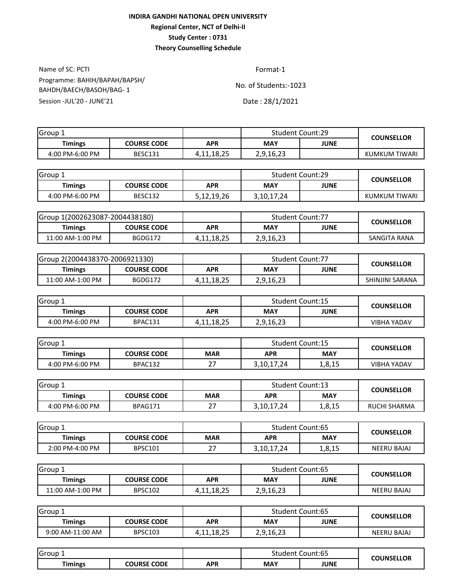Name of SC: PCTI Format-1 Session -JUL'20 - JUNE'21 Date: 28/1/2021 Programme: BAHIH/BAPAH/BAPSH/ BAHDH/BAECH/BASOH/BAG- 1

| Group 1         |                    |               | <b>Student Count:29</b> |      | <b>COUNSELLOR</b> |
|-----------------|--------------------|---------------|-------------------------|------|-------------------|
| Timings         | <b>COURSE CODE</b> | <b>APR</b>    | <b>MAY</b>              | JUNE |                   |
| 4:00 PM-6:00 PM | <b>BESC131</b>     | 4, 11, 18, 25 | 2,9,16,23               |      | KUMKUM TIWARI     |

| Group 1         |                    |            | <b>Student Count:29</b> |      | <b>COUNSELLOR</b> |
|-----------------|--------------------|------------|-------------------------|------|-------------------|
| Timings         | <b>COURSE CODE</b> | APR        | <b>MAY</b>              | JUNE |                   |
| 4:00 PM-6:00 PM | BESC132            | 5,12,19,26 | 3,10,17,24              |      | KUMKUM TIWARI     |

| Group 1(2002623087-2004438180) |                    |               | <b>Student Count:77</b> |  | <b>COUNSELLOR</b> |
|--------------------------------|--------------------|---------------|-------------------------|--|-------------------|
| Timings                        | <b>COURSE CODE</b> | APR           | JUNE<br><b>MAY</b>      |  |                   |
| 11:00 AM-1:00 PM               | BGDG172            | 4, 11, 18, 25 | 2,9,16,23               |  | SANGITA RANA      |

| Group 2(2004438370-2006921330) |                    |            | <b>Student Count:77</b> |      | <b>COUNSELLOR</b> |  |
|--------------------------------|--------------------|------------|-------------------------|------|-------------------|--|
| Timings                        | <b>COURSE CODE</b> | APR        | MAY                     | JUNE |                   |  |
| 11:00 AM-1:00 PM               | BGDG172            | 4,11,18,25 | 2,9,16,23               |      | SHINJINI SARANA   |  |

| ڈ IGroup        |                    |            | <b>Student Count:15</b>   |  | <b>COUNSELLOR</b>  |
|-----------------|--------------------|------------|---------------------------|--|--------------------|
| Timings         | <b>COURSE CODE</b> | APR        | <b>JUNE</b><br><b>MAY</b> |  |                    |
| 4:00 PM-6:00 PM | BPAC131            | 4,11,18,25 | 2,9,16,23                 |  | <b>VIBHA YADAV</b> |

| Group           |                    |               | <b>Student Count:15</b> |        | <b>COUNSELLOR</b> |  |
|-----------------|--------------------|---------------|-------------------------|--------|-------------------|--|
| <b>Timings</b>  | <b>COURSE CODE</b> | <b>MAR</b>    | <b>APR</b>              | MAY    |                   |  |
| 4:00 PM-6:00 PM | BPAC132            | ີ<br><u>.</u> | 3,10,17,24              | 1,8,15 | VIBHA YADAV       |  |

| Group 1         |                    |                | <b>Student Count:13</b> |        | <b>COUNSELLOR</b>   |
|-----------------|--------------------|----------------|-------------------------|--------|---------------------|
| <b>Timings</b>  | <b>COURSE CODE</b> | <b>MAR</b>     | <b>APR</b>              | MAY    |                     |
| 4:00 PM-6:00 PM | BPAG171            | ~-<br><u>_</u> | 3, 10, 17, 24           | 1,8,15 | <b>RUCHI SHARMA</b> |

| Group           |                |            | <b>Student Count:65</b> |            | <b>COUNSELLOR</b>  |  |
|-----------------|----------------|------------|-------------------------|------------|--------------------|--|
| <b>Timings</b>  | COURSE CODE    | <b>MAR</b> | APR                     | <b>MAY</b> |                    |  |
| 2:00 PM-4:00 PM | <b>BPSC101</b> | ີ          | 3.10.17.24              | 1,8,15     | <b>NEERU BAJAJ</b> |  |

| IGroup <sub>1</sub> |                    |            | <b>Student Count:65</b> |             | <b>COUNSELLOR</b>  |  |
|---------------------|--------------------|------------|-------------------------|-------------|--------------------|--|
| <b>Timings</b>      | <b>COURSE CODE</b> | APR        | <b>MAY</b>              | <b>JUNE</b> |                    |  |
| 11:00 AM-1:00 PM    | <b>BPSC102</b>     | 4,11,18,25 | 2,9,16,23               |             | <b>NEERU BAJAJ</b> |  |

| Group            |                    |            | <b>Student Count:65</b> |             | <b>COUNSELLOR</b> |  |
|------------------|--------------------|------------|-------------------------|-------------|-------------------|--|
| <b>Timings</b>   | <b>COURSE CODE</b> | <b>APR</b> | <b>MAY</b>              | <b>JUNE</b> |                   |  |
| 9:00 AM-11:00 AM | <b>BPSC103</b>     | 4,11,18,25 | 2,9,16,23               |             | NEERU BAJAJ       |  |

| Group               |                    |            | Count:65<br>Student |             | <b>COUNSELLOR</b> |
|---------------------|--------------------|------------|---------------------|-------------|-------------------|
| --<br><b>imings</b> | <b>COURSE CODE</b> | <b>APR</b> | <b>MAY</b>          | <b>JUNE</b> |                   |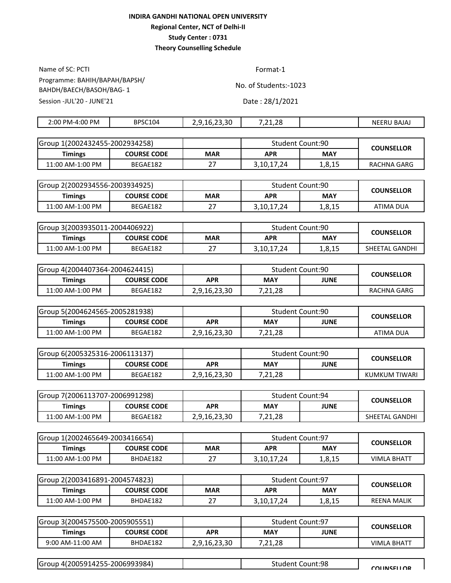Name of SC: PCTI Format-1 Session -JUL'20 - JUNE'21 Date: 28/1/2021 Programme: BAHIH/BAPAH/BAPSH/ BAHDH/BAECH/BASOH/BAG- 1

| $PM-4:00 PM$<br>2:00 | BPSC104 | ാറ<br>. .<br>.5.5U<br>u | າເ<br>$-$<br>. | BAJAJ<br>NEERL |
|----------------------|---------|-------------------------|----------------|----------------|
|                      |         |                         |                |                |

| lGroup 1(2002432455-2002934258) |                    |            | <b>Student Count:90</b> |            | <b>COUNSELLOR</b> |  |
|---------------------------------|--------------------|------------|-------------------------|------------|-------------------|--|
| <b>Timings</b>                  | <b>COURSE CODE</b> | <b>MAR</b> | APR                     | <b>MAY</b> |                   |  |
| 11:00 AM-1:00 PM                | BEGAE182           | ، ے        | 3,10,17,24              | 1,8,15     | RACHNA GARG       |  |

| Group 2(2002934556-2003934925) |                    |            | <b>Student Count:90</b> |        | <b>COUNSELLOR</b> |  |
|--------------------------------|--------------------|------------|-------------------------|--------|-------------------|--|
| Timings                        | <b>COURSE CODE</b> | <b>MAR</b> | APR                     | MAY    |                   |  |
| 11:00 AM-1:00 PM               | BEGAE182           | ، ے        | 3,10,17,24              | 1,8,15 | ATIMA DUA         |  |

| lGroup 3(2003935011-2004406922) |                    |            | Student Count:90 |            | <b>COUNSELLOR</b> |
|---------------------------------|--------------------|------------|------------------|------------|-------------------|
| Timings                         | <b>COURSE CODE</b> | <b>MAR</b> | <b>APR</b>       | <b>MAY</b> |                   |
| 11:00 AM-1:00 PM                | BEGAE182           | <u>.</u>   | 3,10,17,24       | 1,8,15     | SHEETAL GANDHI    |

| Group 4(2004407364-2004624415) |                    |              | Student Count:90 |             | <b>COUNSELLOR</b> |  |
|--------------------------------|--------------------|--------------|------------------|-------------|-------------------|--|
| Timings                        | <b>COURSE CODE</b> | APR          | <b>MAY</b>       | <b>JUNE</b> |                   |  |
| 11:00 AM-1:00 PM               | BEGAE182           | 2,9,16,23,30 | 7,21,28          |             | RACHNA GARG       |  |

| Group 5(2004624565-2005281938) |                    |              | Student Count:90 |             | <b>COUNSELLOR</b> |
|--------------------------------|--------------------|--------------|------------------|-------------|-------------------|
| Timings                        | <b>COURSE CODE</b> | APR          | <b>MAY</b>       | <b>JUNE</b> |                   |
| 11:00 AM-1:00 PM               | BEGAE182           | 2,9,16,23,30 | 7,21,28          |             | ATIMA DUA         |

| Group 6(2005325316-2006113137) |                    |              | <b>Student Count:90</b> |             | <b>COUNSELLOR</b> |
|--------------------------------|--------------------|--------------|-------------------------|-------------|-------------------|
| <b>Timings</b>                 | <b>COURSE CODE</b> | APR          | <b>MAY</b>              | <b>JUNE</b> |                   |
| 11:00 AM-1:00 PM               | BEGAE182           | 2,9,16,23,30 | 7,21,28                 |             | KUMKUM TIWARI     |

| Group 7(2006113707-2006991298) |                    |              | <b>Student Count:94</b> |             | <b>COUNSELLOR</b> |
|--------------------------------|--------------------|--------------|-------------------------|-------------|-------------------|
| <b>Timings</b>                 | <b>COURSE CODE</b> | APR          | <b>MAY</b>              | <b>JUNE</b> |                   |
| 11:00 AM-1:00 PM               | BEGAE182           | 2,9,16,23,30 | 7,21,28                 |             | SHEETAL GANDHI    |

| lGroup 1(2002465649-2003416654) |                    |            | <b>Student Count:97</b> |            | <b>COUNSELLOR</b>  |
|---------------------------------|--------------------|------------|-------------------------|------------|--------------------|
| Timings                         | <b>COURSE CODE</b> | <b>MAR</b> | APR                     | <b>MAY</b> |                    |
| 11:00 AM-1:00 PM                | BHDAE182           |            | 3,10,17,24              | 1,8,15     | <b>VIMLA BHATT</b> |

| Group 2(2003416891-2004574823) |                    |            |            | Student Count:97 | <b>COUNSELLOR</b>  |
|--------------------------------|--------------------|------------|------------|------------------|--------------------|
| Timings                        | <b>COURSE CODE</b> | <b>MAR</b> | <b>APR</b> | <b>MAY</b>       |                    |
| 11:00 AM-1:00 PM               | BHDAE182           | _ _        | 3.10.17.24 | 1,8,15           | <b>REENA MALIK</b> |

| lGroup 3(2004575500-2005905551) |                    |              | <b>Student Count:97</b> |      | <b>COUNSELLOR</b>  |
|---------------------------------|--------------------|--------------|-------------------------|------|--------------------|
| <b>Timings</b>                  | <b>COURSE CODE</b> | APR          | <b>MAY</b>              | JUNE |                    |
| 9:00 AM-11:00 AM                | BHDAE182           | 2,9,16,23,30 | 7,21,28                 |      | <b>VIMLA BHATT</b> |

| 2005914255-2006993984)<br>Group 4(2) | Count:98<br>Student | <b>COLINSELLOR</b> |
|--------------------------------------|---------------------|--------------------|
|                                      |                     |                    |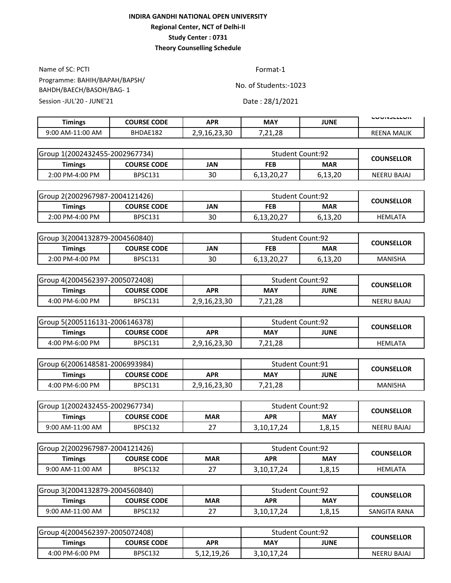Name of SC: PCTI Format-1 Session -JUL'20 - JUNE'21 Date: 28/1/2021 Programme: BAHIH/BAPAH/BAPSH/ BAHDH/BAECH/BASOH/BAG- 1

| <b>Timings</b>   | <b>COURSE CODE</b> | APR          | <b>MAY</b>              | JUNE | <b>LUUINJLLLUIN</b> |
|------------------|--------------------|--------------|-------------------------|------|---------------------|
| 9:00 AM-11:00 AM | BHDAE182           | 2.9.16.23.30 | າ ວ<br>- 71<br>24,70, م |      | <b>REENA MALIK</b>  |

| lGroup 1(2002432455-2002967734) |                    |     | <b>Student Count:92</b> |            | <b>COUNSELLOR</b> |
|---------------------------------|--------------------|-----|-------------------------|------------|-------------------|
| <b>Timings</b>                  | <b>COURSE CODE</b> | JAN | <b>FEB</b>              | <b>MAR</b> |                   |
| $2:00$ PM-4:00 PM               | <b>BPSC131</b>     | 30  | 6,13,20,27              | 6,13,20    | NEERU BAJAJ       |

| Group 2(2002967987-2004121426) |                    |     | <b>Student Count:92</b> |            | <b>COUNSELLOR</b> |
|--------------------------------|--------------------|-----|-------------------------|------------|-------------------|
| Timings                        | <b>COURSE CODE</b> | JAN | <b>FEB</b>              | <b>MAR</b> |                   |
| 2:00 PM-4:00 PM                | <b>BPSC131</b>     | 30  | 6,13,20,27              | 6,13,20    | <b>HEMLATA</b>    |

| Group 3(2004132879-2004560840) |                    |     | <b>Student Count:92</b> |            | <b>COUNSELLOR</b> |
|--------------------------------|--------------------|-----|-------------------------|------------|-------------------|
| Timings                        | <b>COURSE CODE</b> | JAN | <b>FEB</b>              | <b>MAR</b> |                   |
| 2:00 PM-4:00 PM                | <b>BPSC131</b>     | 30  | 6,13,20,27              | 6,13,20    | <b>MANISHA</b>    |

| Group 4(2004562397-2005072408) |                    |              | <b>Student Count:92</b> |             | <b>COUNSELLOR</b>  |
|--------------------------------|--------------------|--------------|-------------------------|-------------|--------------------|
| Timings                        | <b>COURSE CODE</b> | APR          | <b>MAY</b>              | <b>JUNE</b> |                    |
| 4:00 PM-6:00 PM                | <b>BPSC131</b>     | 2,9,16,23,30 | ,21,28<br>1 ר           |             | <b>NEERU BAJAJ</b> |

| Group 5(2005116131-2006146378) |                    |              | <b>Student Count:92</b> |             | <b>COUNSELLOR</b> |
|--------------------------------|--------------------|--------------|-------------------------|-------------|-------------------|
| Timings                        | <b>COURSE CODE</b> | APR          | <b>MAY</b>              | <b>JUNE</b> |                   |
| 4:00 PM-6:00 PM                | BPSC131            | 2,9,16,23,30 | ,21,28<br>1 ר           |             | <b>HEMLATA</b>    |

| Group 6(2006148581-2006993984) |                    |              | <b>Student Count:91</b> |             | <b>COUNSELLOR</b> |  |
|--------------------------------|--------------------|--------------|-------------------------|-------------|-------------------|--|
| Timings                        | <b>COURSE CODE</b> | APR          | <b>MAY</b>              | <b>JUNE</b> |                   |  |
| 4:00 PM-6:00 PM                | BPSC131            | 2,9,16,23,30 | 7,21,28                 |             | <b>MANISHA</b>    |  |

| Group 1(2002432455-2002967734) |                    |            | <b>Student Count:92</b> |            | <b>COUNSELLOR</b>  |  |
|--------------------------------|--------------------|------------|-------------------------|------------|--------------------|--|
| Timings                        | <b>COURSE CODE</b> | <b>MAR</b> | APR                     | <b>MAY</b> |                    |  |
| 9:00 AM-11:00 AM               | BPSC132            | <u>.</u>   | 3,10,17,24              | 1,8,15     | <b>NEERU BAJAJ</b> |  |

| Group 2(2002967987-2004121426) |                    |            | <b>Student Count:92</b> |        | <b>COUNSELLOR</b> |
|--------------------------------|--------------------|------------|-------------------------|--------|-------------------|
| Timings                        | <b>COURSE CODE</b> | <b>MAR</b> | <b>MAY</b><br>APR       |        |                   |
| 9:00 AM-11:00 AM               | <b>BPSC132</b>     | n –        | 3,10,17,24              | 1,8,15 | HEMLATA           |

| Group 3(2004132879-2004560840) |                    |            | <b>Student Count:92</b> |            | <b>COUNSELLOR</b> |
|--------------------------------|--------------------|------------|-------------------------|------------|-------------------|
| <b>Timings</b>                 | <b>COURSE CODE</b> | <b>MAR</b> | APR                     | <b>MAY</b> |                   |
| 9:00 AM-11:00 AM               | BPSC132            |            | 3,10,17,24              | 1,8,15     | SANGITA RANA      |

| Group 4(2004562397-2005072408) |                    |            | <b>Student Count:92</b> |             | <b>COUNSELLOR</b>  |  |
|--------------------------------|--------------------|------------|-------------------------|-------------|--------------------|--|
| Timings                        | <b>COURSE CODE</b> | APR        | <b>MAY</b>              | <b>JUNE</b> |                    |  |
| 4:00 PM-6:00 PM                | <b>BPSC132</b>     | 5,12,19,26 | 3,10,17,24              |             | <b>NEERU BAJAJ</b> |  |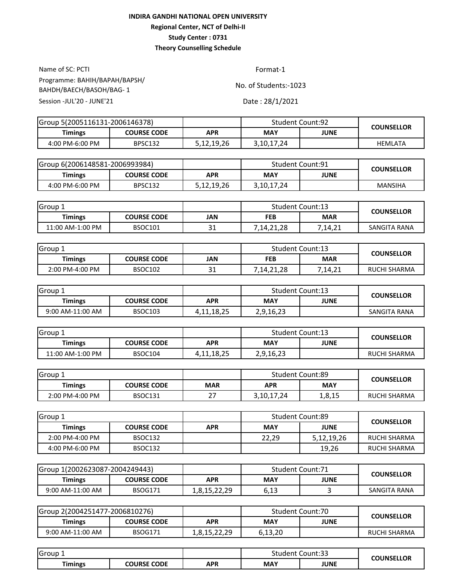Name of SC: PCTI Format-1 Session -JUL'20 - JUNE'21 Date: 28/1/2021 Programme: BAHIH/BAPAH/BAPSH/ BAHDH/BAECH/BASOH/BAG- 1

| Group 5(2005116131-2006146378) |                    | <b>Student Count:92</b> |            |      | <b>COUNSELLOR</b> |
|--------------------------------|--------------------|-------------------------|------------|------|-------------------|
| Timings                        | <b>COURSE CODE</b> | APR                     | <b>MAY</b> | JUNE |                   |
| 4:00 PM-6:00 PM                | <b>BPSC132</b>     | 5,12,19,26              | 3,10,17,24 |      | HEMLATA           |

| Group 6(2006148581-2006993984) |                    |            | <b>Student Count:91</b> |      | <b>COUNSELLOR</b> |  |
|--------------------------------|--------------------|------------|-------------------------|------|-------------------|--|
| Timings                        | <b>COURSE CODE</b> | APR        | <b>MAY</b>              | JUNE |                   |  |
| 4:00 PM-6:00 PM                | BPSC132            | 5,12,19,26 | 3,10,17,24              |      | <b>MANSIHA</b>    |  |

| Group 1          |                    |           | <b>Student Count:13</b> |            | <b>COUNSELLOR</b> |
|------------------|--------------------|-----------|-------------------------|------------|-------------------|
| <b>Timings</b>   | <b>COURSE CODE</b> | JAN       | FEB                     | <b>MAR</b> |                   |
| 11:00 AM-1:00 PM | <b>BSOC101</b>     | ີ 1<br>ᇰᆂ | 7,14,21,28              | ,14,21     | SANGITA RANA      |

| Group           |                    |          | <b>Student Count:13</b> |            | <b>COUNSELLOR</b>   |  |
|-----------------|--------------------|----------|-------------------------|------------|---------------------|--|
| Timings         | <b>COURSE CODE</b> | JAN      | <b>FEB</b>              | <b>MAR</b> |                     |  |
| 2:00 PM-4:00 PM | <b>BSOC102</b>     | า 1<br>ັ | 7,14,21,28              | 7,14,21    | <b>RUCHI SHARMA</b> |  |

| Group 1          |                    |            | <b>Student Count:13</b>   |  | <b>COUNSELLOR</b> |
|------------------|--------------------|------------|---------------------------|--|-------------------|
| Timings          | <b>COURSE CODE</b> | APR        | <b>MAY</b><br><b>JUNE</b> |  |                   |
| 9:00 AM-11:00 AM | <b>BSOC103</b>     | 4,11,18,25 | 2,9,16,23                 |  | SANGITA RANA      |

| Group 1          |                    |               | <b>Student Count:13</b> |             | <b>COUNSELLOR</b> |
|------------------|--------------------|---------------|-------------------------|-------------|-------------------|
| <b>Timings</b>   | <b>COURSE CODE</b> | APR           | <b>MAY</b>              | <b>JUNE</b> |                   |
| 11:00 AM-1:00 PM | BSOC104            | 4, 11, 18, 25 | 2,9,16,23               |             | RUCHI SHARMA      |

| Group.          |                    |               | <b>Student Count:89</b> |        | <b>COUNSELLOR</b>   |
|-----------------|--------------------|---------------|-------------------------|--------|---------------------|
| <b>Timings</b>  | <b>COURSE CODE</b> | <b>MAR</b>    | <b>MAY</b><br>APR       |        |                     |
| 2:00 PM-4:00 PM | BSOC131            | ∼<br><u>.</u> | 3,10,17,24              | 1,8,15 | <b>RUCHI SHARMA</b> |

| Group 1         |                    |            | <b>Student Count:89</b> |             | <b>COUNSELLOR</b> |
|-----------------|--------------------|------------|-------------------------|-------------|-------------------|
| <b>Timings</b>  | <b>COURSE CODE</b> | <b>APR</b> | <b>MAY</b>              | <b>JUNE</b> |                   |
| 2:00 PM-4:00 PM | BSOC132            |            | 22.29                   | 5,12,19,26  | RUCHI SHARMA      |
| 4:00 PM-6:00 PM | BSOC132            |            |                         | 19.26       | RUCHI SHARMA      |

| Group 1(2002623087-2004249443) |                |              | <b>Student Count:71</b> |      | <b>COUNSELLOR</b> |
|--------------------------------|----------------|--------------|-------------------------|------|-------------------|
| Timings                        | COURSE CODE    | APR          | <b>MAY</b>              | JUNE |                   |
| 9:00 AM-11:00 AM               | <b>BSOG171</b> | ⊥,∪,⊥J,∠∠,∠J | 6,13                    |      | SANGITA RANA      |

| Group 2(2004251477-2006810276) |                    |              | Student Count:70 |             | <b>COUNSELLOR</b>   |  |
|--------------------------------|--------------------|--------------|------------------|-------------|---------------------|--|
| Timings                        | <b>COURSE CODE</b> | APR          | <b>MAY</b>       | <b>JUNE</b> |                     |  |
| 9:00 AM-11:00 AM               | <b>BSOG171</b>     | 1,8,15,22,29 | 6,13,20          |             | <b>RUCHI SHARMA</b> |  |

| Group         |                    |     | studenf    | Count:33    |            |
|---------------|--------------------|-----|------------|-------------|------------|
| <b>imings</b> | <b>COURSE CODE</b> | APR | <b>MAY</b> | <b>JUNE</b> | COUNSELLOR |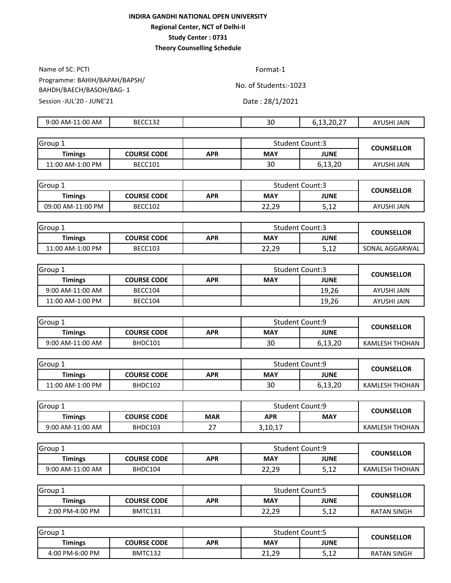Name of SC: PCTI Format-1 Session -JUL'20 - JUNE'21 Date: 28/1/2021 Programme: BAHIH/BAPAH/BAPSH/ BAHDH/BAECH/BASOH/BAG- 1

| 1:00<br>AM<br>9:00<br>AM- | BECC132 | $\Omega$<br>่วบ | $\sim$ $\sim$ $\sim$<br>ے, ب | .<br>AY'<br>JAIN<br>NH. |
|---------------------------|---------|-----------------|------------------------------|-------------------------|
|                           |         |                 |                              |                         |

| Group 1          |             |            | <b>Student Count:3</b> |         | <b>COUNSELLOR</b> |
|------------------|-------------|------------|------------------------|---------|-------------------|
| <b>Timings</b>   | COURSE CODE | <b>APR</b> | MAY                    | JUNE    |                   |
| 11:00 AM-1:00 PM | BECC101     |            | 30                     | 6,13,20 | AYUSHI JAIN       |

| Group 1           |                    |     | <b>Student Count:3</b> |                 | <b>COUNSELLOR</b> |  |
|-------------------|--------------------|-----|------------------------|-----------------|-------------------|--|
| <b>Timings</b>    | <b>COURSE CODE</b> | APR | <b>MAY</b>             | <b>JUNE</b>     |                   |  |
| 09:00 AM-11:00 PM | BECC102            |     | 22,29                  | r 10<br>ے ہے رک | AYUSHI JAIN       |  |

| Group 1          |                    |     | <b>Student Count:3</b> |      | <b>COUNSELLOR</b> |
|------------------|--------------------|-----|------------------------|------|-------------------|
| <b>Timings</b>   | <b>COURSE CODE</b> | APR | MAY                    | JUNE |                   |
| 11:00 AM-1:00 PM | BECC103            |     | 22,29                  | 5,12 | SONAL AGGARWAL    |

| Group 1            |                    |     | <b>Student Count:3</b> |             | <b>COUNSELLOR</b> |
|--------------------|--------------------|-----|------------------------|-------------|-------------------|
| <b>Timings</b>     | <b>COURSE CODE</b> | APR | <b>MAY</b>             | <b>JUNE</b> |                   |
| $9:00$ AM-11:00 AM | BECC104            |     |                        | 19,26       | AYUSHI JAIN       |
| 11:00 AM-1:00 PM   | BECC104            |     |                        | 19,26       | AYUSHI JAIN       |

| Group 1          |                    |     | <b>Student Count:9</b> |             | <b>COUNSELLOR</b> |
|------------------|--------------------|-----|------------------------|-------------|-------------------|
| <b>Timings</b>   | <b>COURSE CODE</b> | APR | <b>MAY</b>             | <b>JUNE</b> |                   |
| 9:00 AM-11:00 AM | BHDC101            |     | 30                     | 6,13,20     | KAMLESH THOHAN    |

| Group            |                    |     | <b>Student Count:9</b> |             | <b>COUNSELLOR</b> |  |
|------------------|--------------------|-----|------------------------|-------------|-------------------|--|
| <b>Timings</b>   | <b>COURSE CODE</b> | APR | <b>MAY</b>             | <b>JUNE</b> |                   |  |
| 11:00 AM-1:00 PM | BHDC102            |     | 30                     | 6,13,20     | KAMLESH THOHAN    |  |

| Group            |                    |            | <b>Student Count:9</b> |            | <b>COUNSELLOR</b> |
|------------------|--------------------|------------|------------------------|------------|-------------------|
| Timings          | <b>COURSE CODE</b> | <b>MAR</b> | <b>APR</b>             | <b>MAY</b> |                   |
| 9:00 AM-11:00 AM | BHDC103            | . .        | 3,10,17                |            | KAMLESH THOHAN    |

| Group 1          |             |     | <b>Student Count:9</b> |                | <b>COUNSELLOR</b> |
|------------------|-------------|-----|------------------------|----------------|-------------------|
| <b>Timings</b>   | COURSE CODE | APR | <b>MAY</b>             | <b>JUNE</b>    |                   |
| 9:00 AM-11:00 AM | BHDC104     |     | 22,29                  | E 1 J<br>J, LZ | KAMLESH THOHAN    |

| Group.          |                    |     | <b>Student Count:5</b> |                | <b>COUNSELLOR</b>  |  |
|-----------------|--------------------|-----|------------------------|----------------|--------------------|--|
| Timings         | <b>COURSE CODE</b> | APR | <b>MAY</b>             | <b>JUNE</b>    |                    |  |
| 2:00 PM-4:00 PM | BMTC131            |     | 22,29                  | E 1 J<br>J, LZ | <b>RATAN SINGH</b> |  |

| l Group 1       |                    |     | <b>Student Count:5</b> |               | <b>COUNSELLOR</b>  |  |
|-----------------|--------------------|-----|------------------------|---------------|--------------------|--|
| <b>Timings</b>  | <b>COURSE CODE</b> | APR | <b>MAY</b>             | <b>JUNE</b>   |                    |  |
| 4:00 PM-6:00 PM | BMTC132            |     | 21,29<br>21            | E 1 7<br>⊃,⊥∠ | <b>RATAN SINGH</b> |  |